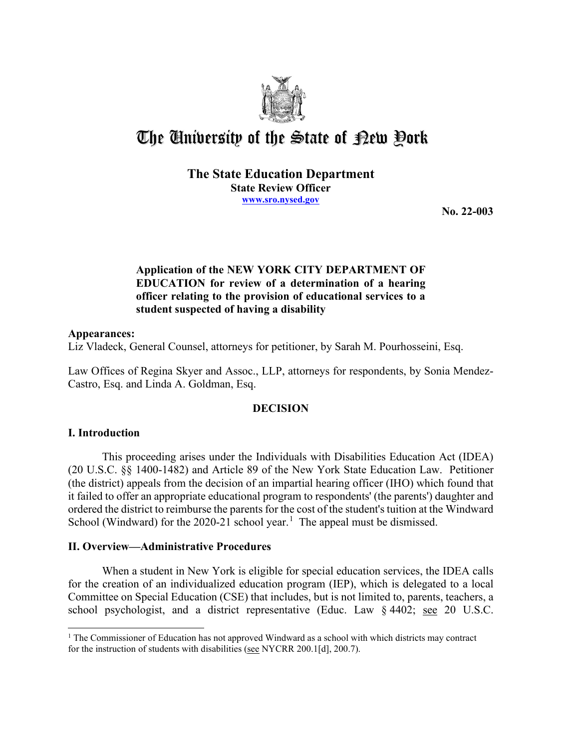

# The University of the State of Pew Pork

#### **The State Education Department State Review Officer [www.sro.nysed.gov](http://www.sro.nysed.gov/)**

**No. 22-003** 

# **Application of the NEW YORK CITY DEPARTMENT OF EDUCATION for review of a determination of a hearing officer relating to the provision of educational services to a student suspected of having a disability**

#### **Appearances:**

Liz Vladeck, General Counsel, attorneys for petitioner, by Sarah M. Pourhosseini, Esq.

Law Offices of Regina Skyer and Assoc., LLP, attorneys for respondents, by Sonia Mendez-Castro, Esq. and Linda A. Goldman, Esq.

## **DECISION**

## **I. Introduction**

 This proceeding arises under the Individuals with Disabilities Education Act (IDEA) ordered the district to reimburse the parents for the cost of the student's tuition at the Windward (20 U.S.C. §§ 1400-1482) and Article 89 of the New York State Education Law. Petitioner (the district) appeals from the decision of an impartial hearing officer (IHO) which found that it failed to offer an appropriate educational program to respondents' (the parents') daughter and School (Windward) for the  $2020-21$  $2020-21$  school year.<sup>1</sup> The appeal must be dismissed.

## **II. Overview—Administrative Procedures**

 for the creation of an individualized education program (IEP), which is delegated to a local Committee on Special Education (CSE) that includes, but is not limited to, parents, teachers, a When a student in New York is eligible for special education services, the IDEA calls school psychologist, and a district representative (Educ. Law § 4402; see 20 U.S.C.

<span id="page-0-0"></span> $<sup>1</sup>$  The Commissioner of Education has not approved Windward as a school with which districts may contract</sup> for the instruction of students with disabilities (see NYCRR 200.1[d], 200.7).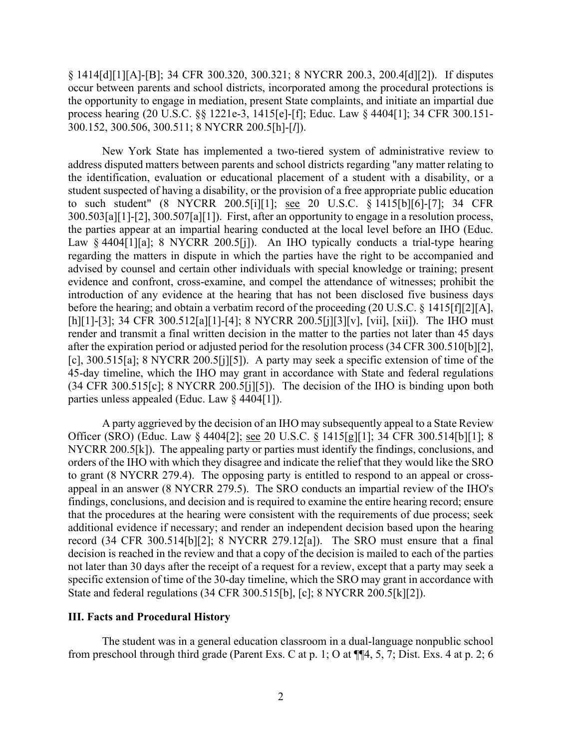process hearing (20 U.S.C. §§ 1221e-3, 1415[e]-[f]; Educ. Law § 4404[1]; 34 CFR 300.151- § 1414[d][1][A]-[B]; 34 CFR 300.320, 300.321; 8 NYCRR 200.3, 200.4[d][2]). If disputes occur between parents and school districts, incorporated among the procedural protections is the opportunity to engage in mediation, present State complaints, and initiate an impartial due 300.152, 300.506, 300.511; 8 NYCRR 200.5[h]-[*l*]).

 address disputed matters between parents and school districts regarding "any matter relating to the parties appear at an impartial hearing conducted at the local level before an IHO (Educ. Law § 4404[1][a]; 8 NYCRR 200.5[j]). An IHO typically conducts a trial-type hearing parties unless appealed (Educ. Law § 4404[1]). New York State has implemented a two-tiered system of administrative review to the identification, evaluation or educational placement of a student with a disability, or a student suspected of having a disability, or the provision of a free appropriate public education to such student" (8 NYCRR 200.5[i][1]; see 20 U.S.C. § 1415[b][6]-[7]; 34 CFR 300.503[a][1]-[2], 300.507[a][1]). First, after an opportunity to engage in a resolution process, regarding the matters in dispute in which the parties have the right to be accompanied and advised by counsel and certain other individuals with special knowledge or training; present evidence and confront, cross-examine, and compel the attendance of witnesses; prohibit the introduction of any evidence at the hearing that has not been disclosed five business days before the hearing; and obtain a verbatim record of the proceeding (20 U.S.C. § 1415[f][2][A], [h][1]-[3]; 34 CFR 300.512[a][1]-[4]; 8 NYCRR 200.5[j][3][v], [vii], [xii]). The IHO must render and transmit a final written decision in the matter to the parties not later than 45 days after the expiration period or adjusted period for the resolution process (34 CFR 300.510[b][2], [c], 300.515[a]; 8 NYCRR 200.5[j][5]). A party may seek a specific extension of time of the 45-day timeline, which the IHO may grant in accordance with State and federal regulations (34 CFR 300.515[c]; 8 NYCRR 200.5[j][5]). The decision of the IHO is binding upon both

Officer (SRO) (Educ. Law § 4404[2]; <u>see</u> 20 U.S.C. § 1415[g][1]; 34 CFR 300.514[b][1]; 8 NYCRR 200.5[k]). The appealing party or parties must identify the findings, conclusions, and findings, conclusions, and decision and is required to examine the entire hearing record; ensure that the procedures at the hearing were consistent with the requirements of due process; seek record (34 CFR 300.514[b][2]; 8 NYCRR 279.12[a]). The SRO must ensure that a final decision is reached in the review and that a copy of the decision is mailed to each of the parties A party aggrieved by the decision of an IHO may subsequently appeal to a State Review orders of the IHO with which they disagree and indicate the relief that they would like the SRO to grant (8 NYCRR 279.4). The opposing party is entitled to respond to an appeal or crossappeal in an answer (8 NYCRR 279.5). The SRO conducts an impartial review of the IHO's additional evidence if necessary; and render an independent decision based upon the hearing not later than 30 days after the receipt of a request for a review, except that a party may seek a specific extension of time of the 30-day timeline, which the SRO may grant in accordance with State and federal regulations (34 CFR 300.515[b], [c]; 8 NYCRR 200.5[k][2]).

#### **III. Facts and Procedural History**

The student was in a general education classroom in a dual-language nonpublic school from preschool through third grade (Parent Exs. C at p. 1; O at ¶¶4, 5, 7; Dist. Exs. 4 at p. 2; 6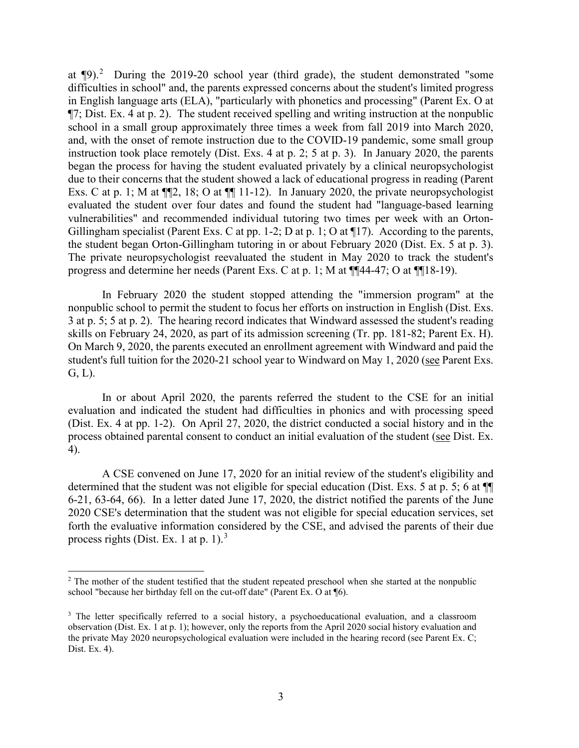at  $\P$ 9).<sup>[2](#page-2-0)</sup> During the 2019-20 school year (third grade), the student demonstrated "some in English language arts (ELA), "particularly with phonetics and processing" (Parent Ex. O at ¶7; Dist. Ex. 4 at p. 2). The student received spelling and writing instruction at the nonpublic Exs. C at p. 1; M at  $\P$ 2, 18; O at  $\P$  11-12). In January 2020, the private neuropsychologist Gillingham specialist (Parent Exs. C at pp. 1-2; D at p. 1; O at  $\P$ 17). According to the parents, the student began Orton-Gillingham tutoring in or about February 2020 (Dist. Ex. 5 at p. 3). The private neuropsychologist reevaluated the student in May 2020 to track the student's difficulties in school" and, the parents expressed concerns about the student's limited progress school in a small group approximately three times a week from fall 2019 into March 2020, and, with the onset of remote instruction due to the COVID-19 pandemic, some small group instruction took place remotely (Dist. Exs. 4 at p. 2; 5 at p. 3). In January 2020, the parents began the process for having the student evaluated privately by a clinical neuropsychologist due to their concerns that the student showed a lack of educational progress in reading (Parent evaluated the student over four dates and found the student had "language-based learning vulnerabilities" and recommended individual tutoring two times per week with an Ortonprogress and determine her needs (Parent Exs. C at p. 1; M at ¶¶44-47; O at ¶¶18-19).

 skills on February 24, 2020, as part of its admission screening (Tr. pp. 181-82; Parent Ex. H). In February 2020 the student stopped attending the "immersion program" at the nonpublic school to permit the student to focus her efforts on instruction in English (Dist. Exs. 3 at p. 5; 5 at p. 2). The hearing record indicates that Windward assessed the student's reading On March 9, 2020, the parents executed an enrollment agreement with Windward and paid the student's full tuition for the 2020-21 school year to Windward on May 1, 2020 (see Parent Exs. G, L).

 evaluation and indicated the student had difficulties in phonics and with processing speed (Dist. Ex. 4 at pp. 1-2). On April 27, 2020, the district conducted a social history and in the process obtained parental consent to conduct an initial evaluation of the student (see Dist. Ex. In or about April 2020, the parents referred the student to the CSE for an initial 4).

 6-21, 63-64, 66). In a letter dated June 17, 2020, the district notified the parents of the June forth the evaluative information considered by the CSE, and advised the parents of their due A CSE convened on June 17, 2020 for an initial review of the student's eligibility and determined that the student was not eligible for special education (Dist. Exs. 5 at p. 5; 6 at ¶¶ 2020 CSE's determination that the student was not eligible for special education services, set process rights (Dist. Ex. 1 at p. 1).<sup>3</sup>

<span id="page-2-0"></span> $2$  The mother of the student testified that the student repeated preschool when she started at the nonpublic school "because her birthday fell on the cut-off date" (Parent Ex. O at ¶6).

<span id="page-2-1"></span><sup>&</sup>lt;sup>3</sup> The letter specifically referred to a social history, a psychoeducational evaluation, and a classroom observation (Dist. Ex. 1 at p. 1); however, only the reports from the April 2020 social history evaluation and the private May 2020 neuropsychological evaluation were included in the hearing record (see Parent Ex. C; Dist. Ex. 4).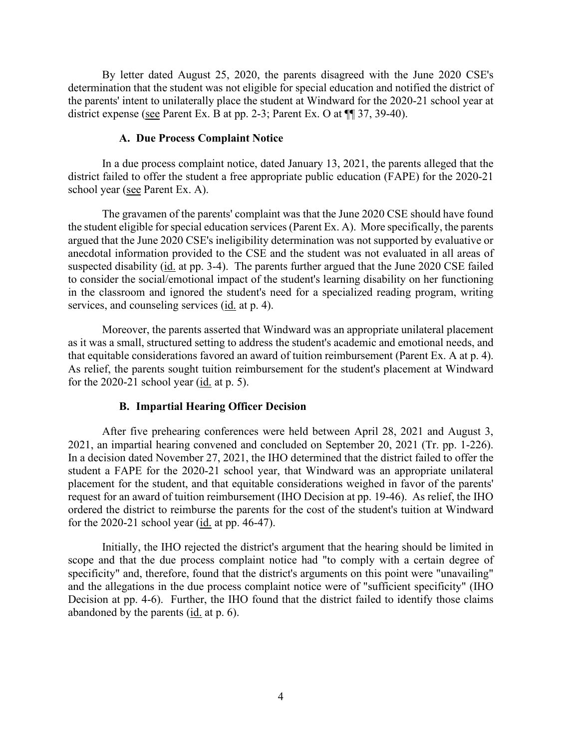determination that the student was not eligible for special education and notified the district of district expense (see Parent Ex. B at pp. 2-3; Parent Ex. O at  $\P$  17, 39-40). By letter dated August 25, 2020, the parents disagreed with the June 2020 CSE's the parents' intent to unilaterally place the student at Windward for the 2020-21 school year at

#### **A. Due Process Complaint Notice**

school year (see Parent Ex. A). In a due process complaint notice, dated January 13, 2021, the parents alleged that the district failed to offer the student a free appropriate public education (FAPE) for the 2020-21

 the student eligible for special education services (Parent Ex. A). More specifically, the parents anecdotal information provided to the CSE and the student was not evaluated in all areas of suspected disability (id. at pp. 3-4). The parents further argued that the June 2020 CSE failed services, and counseling services (id. at p. 4). The gravamen of the parents' complaint was that the June 2020 CSE should have found argued that the June 2020 CSE's ineligibility determination was not supported by evaluative or to consider the social/emotional impact of the student's learning disability on her functioning in the classroom and ignored the student's need for a specialized reading program, writing

that equitable considerations favored an award of tuition reimbursement (Parent Ex. A at p. 4). for the 2020-21 school year  $(id. at p. 5)$ . Moreover, the parents asserted that Windward was an appropriate unilateral placement as it was a small, structured setting to address the student's academic and emotional needs, and As relief, the parents sought tuition reimbursement for the student's placement at Windward

#### **B. Impartial Hearing Officer Decision**

2021, an impartial hearing convened and concluded on September 20, 2021 (Tr. pp. 1-226). student a FAPE for the 2020-21 school year, that Windward was an appropriate unilateral placement for the student, and that equitable considerations weighed in favor of the parents' request for an award of tuition reimbursement (IHO Decision at pp. 19-46). As relief, the IHO After five prehearing conferences were held between April 28, 2021 and August 3, In a decision dated November 27, 2021, the IHO determined that the district failed to offer the ordered the district to reimburse the parents for the cost of the student's tuition at Windward for the 2020-21 school year (id. at pp. 46-47).

 Initially, the IHO rejected the district's argument that the hearing should be limited in scope and that the due process complaint notice had "to comply with a certain degree of and the allegations in the due process complaint notice were of "sufficient specificity" (IHO Decision at pp. 4-6). Further, the IHO found that the district failed to identify those claims abandoned by the parents (*id.* at p. 6). specificity" and, therefore, found that the district's arguments on this point were "unavailing"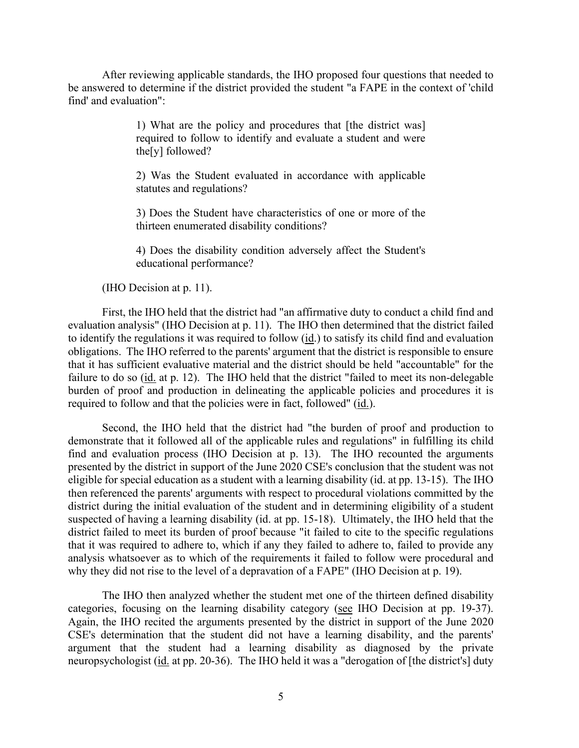After reviewing applicable standards, the IHO proposed four questions that needed to be answered to determine if the district provided the student "a FAPE in the context of 'child find' and evaluation":

> 1) What are the policy and procedures that [the district was] required to follow to identify and evaluate a student and were the[y] followed?

> 2) Was the Student evaluated in accordance with applicable statutes and regulations?

> 3) Does the Student have characteristics of one or more of the thirteen enumerated disability conditions?

> 4) Does the disability condition adversely affect the Student's educational performance?

(IHO Decision at p. 11).

to identify the regulations it was required to follow (id.) to satisfy its child find and evaluation obligations. The IHO referred to the parents' argument that the district is responsible to ensure First, the IHO held that the district had "an affirmative duty to conduct a child find and evaluation analysis" (IHO Decision at p. 11). The IHO then determined that the district failed that it has sufficient evaluative material and the district should be held "accountable" for the failure to do so  $(i_d$  at p. 12). The IHO held that the district "failed to meet its non-delegable burden of proof and production in delineating the applicable policies and procedures it is required to follow and that the policies were in fact, followed" (id.).

 find and evaluation process (IHO Decision at p. 13). The IHO recounted the arguments presented by the district in support of the June 2020 CSE's conclusion that the student was not eligible for special education as a student with a learning disability (id. at pp. 13-15). The IHO suspected of having a learning disability (id. at pp. 15-18). Ultimately, the IHO held that the district failed to meet its burden of proof because "it failed to cite to the specific regulations why they did not rise to the level of a depravation of a FAPE" (IHO Decision at p. 19). Second, the IHO held that the district had "the burden of proof and production to demonstrate that it followed all of the applicable rules and regulations" in fulfilling its child then referenced the parents' arguments with respect to procedural violations committed by the district during the initial evaluation of the student and in determining eligibility of a student that it was required to adhere to, which if any they failed to adhere to, failed to provide any analysis whatsoever as to which of the requirements it failed to follow were procedural and

categories, focusing on the learning disability category (see IHO Decision at pp. 19-37). neuropsychologist (id. at pp. 20-36). The IHO held it was a "derogation of [the district's] duty The IHO then analyzed whether the student met one of the thirteen defined disability Again, the IHO recited the arguments presented by the district in support of the June 2020 CSE's determination that the student did not have a learning disability, and the parents' argument that the student had a learning disability as diagnosed by the private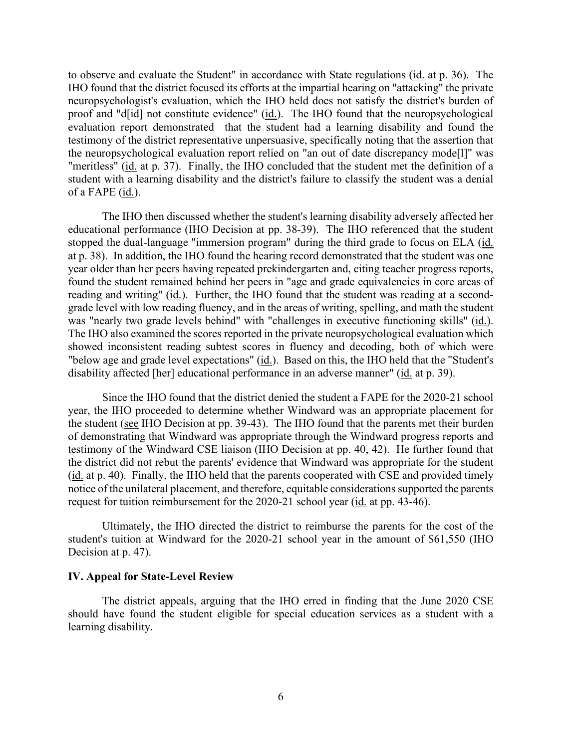to observe and evaluate the Student" in accordance with State regulations (*id.* at p. 36). The IHO found that the district focused its efforts at the impartial hearing on "attacking" the private neuropsychologist's evaluation, which the IHO held does not satisfy the district's burden of proof and "d[id] not constitute evidence" (id.). The IHO found that the neuropsychological "meritless" (id. at p. 37). Finally, the IHO concluded that the student met the definition of a student with a learning disability and the district's failure to classify the student was a denial evaluation report demonstrated that the student had a learning disability and found the testimony of the district representative unpersuasive, specifically noting that the assertion that the neuropsychological evaluation report relied on "an out of date discrepancy mode[l]" was of a FAPE (id.).

 educational performance (IHO Decision at pp. 38-39). The IHO referenced that the student stopped the dual-language "immersion program" during the third grade to focus on ELA (id. at p. 38). In addition, the IHO found the hearing record demonstrated that the student was one reading and writing" (id.). Further, the IHO found that the student was reading at a second- grade level with low reading fluency, and in the areas of writing, spelling, and math the student The IHO also examined the scores reported in the private neuropsychological evaluation which disability affected [her] educational performance in an adverse manner" (id. at p. 39). The IHO then discussed whether the student's learning disability adversely affected her year older than her peers having repeated prekindergarten and, citing teacher progress reports, found the student remained behind her peers in "age and grade equivalencies in core areas of was "nearly two grade levels behind" with "challenges in executive functioning skills" (id.). showed inconsistent reading subtest scores in fluency and decoding, both of which were "below age and grade level expectations" (id.). Based on this, the IHO held that the "Student's

the student (see IHO Decision at pp. 39-43). The IHO found that the parents met their burden testimony of the Windward CSE liaison (IHO Decision at pp. 40, 42). He further found that (id. at p. 40). Finally, the IHO held that the parents cooperated with CSE and provided timely Since the IHO found that the district denied the student a FAPE for the 2020-21 school year, the IHO proceeded to determine whether Windward was an appropriate placement for of demonstrating that Windward was appropriate through the Windward progress reports and the district did not rebut the parents' evidence that Windward was appropriate for the student notice of the unilateral placement, and therefore, equitable considerations supported the parents request for tuition reimbursement for the 2020-21 school year (id. at pp. 43-46).

 Ultimately, the IHO directed the district to reimburse the parents for the cost of the student's tuition at Windward for the 2020-21 school year in the amount of \$61,550 (IHO Decision at p. 47).

#### **IV. Appeal for State-Level Review**

 The district appeals, arguing that the IHO erred in finding that the June 2020 CSE should have found the student eligible for special education services as a student with a learning disability.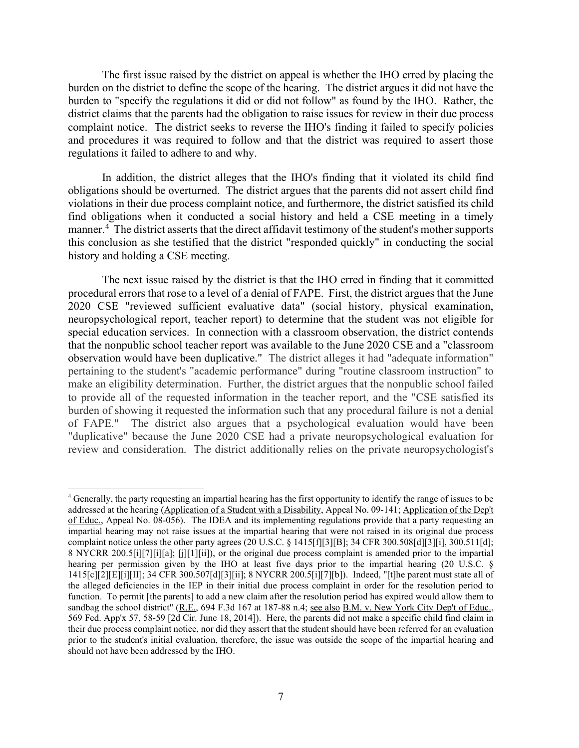burden on the district to define the scope of the hearing. The district argues it did not have the burden to "specify the regulations it did or did not follow" as found by the IHO. Rather, the district claims that the parents had the obligation to raise issues for review in their due process The first issue raised by the district on appeal is whether the IHO erred by placing the complaint notice. The district seeks to reverse the IHO's finding it failed to specify policies and procedures it was required to follow and that the district was required to assert those regulations it failed to adhere to and why.

manner.<sup>4</sup> The district asserts that the direct affidavit testimony of the student's mother supports In addition, the district alleges that the IHO's finding that it violated its child find obligations should be overturned. The district argues that the parents did not assert child find violations in their due process complaint notice, and furthermore, the district satisfied its child find obligations when it conducted a social history and held a CSE meeting in a timely this conclusion as she testified that the district "responded quickly" in conducting the social history and holding a CSE meeting.

 procedural errors that rose to a level of a denial of FAPE. First, the district argues that the June special education services. In connection with a classroom observation, the district contends observation would have been duplicative." The district alleges it had "adequate information" make an eligibility determination. Further, the district argues that the nonpublic school failed review and consideration. The district additionally relies on the private neuropsychologist's The next issue raised by the district is that the IHO erred in finding that it committed 2020 CSE "reviewed sufficient evaluative data" (social history, physical examination, neuropsychological report, teacher report) to determine that the student was not eligible for that the nonpublic school teacher report was available to the June 2020 CSE and a "classroom pertaining to the student's "academic performance" during "routine classroom instruction" to to provide all of the requested information in the teacher report, and the "CSE satisfied its burden of showing it requested the information such that any procedural failure is not a denial of FAPE." The district also argues that a psychological evaluation would have been "duplicative" because the June 2020 CSE had a private neuropsychological evaluation for

<span id="page-6-0"></span> the alleged deficiencies in the IEP in their initial due process complaint in order for the resolution period to 569 Fed. App'x 57, 58-59 [2d Cir. June 18, 2014]). Here, the parents did not make a specific child find claim in should not have been addressed by the IHO. 4 Generally, the party requesting an impartial hearing has the first opportunity to identify the range of issues to be addressed at the hearing (Application of a Student with a Disability, Appeal No. 09-141; Application of the Dep't of Educ., Appeal No. 08-056). The IDEA and its implementing regulations provide that a party requesting an impartial hearing may not raise issues at the impartial hearing that were not raised in its original due process complaint notice unless the other party agrees (20 U.S.C. § 1415[f][3][B]; 34 CFR 300.508[d][3][i], 300.511[d]; 8 NYCRR 200.5[i][7][i][a]; [j][1][ii]), or the original due process complaint is amended prior to the impartial hearing per permission given by the IHO at least five days prior to the impartial hearing (20 U.S.C. § 1415[c][2][E][i][II]; 34 CFR 300.507[d][3][ii]; 8 NYCRR 200.5[i][7][b]). Indeed, "[t]he parent must state all of function. To permit [the parents] to add a new claim after the resolution period has expired would allow them to sandbag the school district" (R.E., 694 F.3d 167 at 187-88 n.4; see also B.M. v. New York City Dep't of Educ., their due process complaint notice, nor did they assert that the student should have been referred for an evaluation prior to the student's initial evaluation, therefore, the issue was outside the scope of the impartial hearing and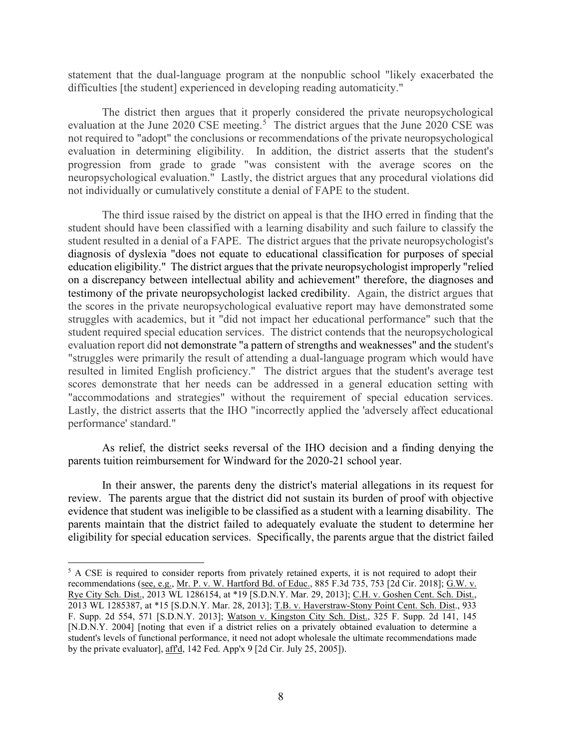statement that the dual-language program at the nonpublic school "likely exacerbated the difficulties [the student] experienced in developing reading automaticity."

evaluation at the June 2020 CSE meeting.<sup>5</sup> The district argues that the June 2020 CSE was not required to "adopt" the conclusions or recommendations of the private neuropsychological evaluation in determining eligibility. In addition, the district asserts that the student's neuropsychological evaluation." Lastly, the district argues that any procedural violations did The district then argues that it properly considered the private neuropsychological progression from grade to grade "was consistent with the average scores on the not individually or cumulatively constitute a denial of FAPE to the student.

 student should have been classified with a learning disability and such failure to classify the student resulted in a denial of a FAPE. The district argues that the private neuropsychologist's diagnosis of dyslexia "does not equate to educational classification for purposes of special education eligibility." The district argues that the private neuropsychologist improperly "relied student required special education services. The district contends that the neuropsychological evaluation report did not demonstrate "a pattern of strengths and weaknesses" and the student's resulted in limited English proficiency." The district argues that the student's average test "accommodations and strategies" without the requirement of special education services. Lastly, the district asserts that the IHO "incorrectly applied the 'adversely affect educational The third issue raised by the district on appeal is that the IHO erred in finding that the on a discrepancy between intellectual ability and achievement" therefore, the diagnoses and testimony of the private neuropsychologist lacked credibility. Again, the district argues that the scores in the private neuropsychological evaluative report may have demonstrated some struggles with academics, but it "did not impact her educational performance" such that the "struggles were primarily the result of attending a dual-language program which would have scores demonstrate that her needs can be addressed in a general education setting with performance' standard."

 As relief, the district seeks reversal of the IHO decision and a finding denying the parents tuition reimbursement for Windward for the 2020-21 school year.

 In their answer, the parents deny the district's material allegations in its request for review. The parents argue that the district did not sustain its burden of proof with objective eligibility for special education services. Specifically, the parents argue that the district failed evidence that student was ineligible to be classified as a student with a learning disability. The parents maintain that the district failed to adequately evaluate the student to determine her

<span id="page-7-0"></span><sup>&</sup>lt;sup>5</sup> A CSE is required to consider reports from privately retained experts, it is not required to adopt their recommendations (<u>see, e.g., Mr. P. v. W. Hartford Bd. of Educ.</u>, 885 F.3d 735, 753 [2d Cir. 2018]; <u>G.W. v.</u> Rye City Sch. Dist., 2013 WL 1286154, at \*19 [S.D.N.Y. Mar. 29, 2013]; C.H. v. Goshen Cent. Sch. Dist., 2013 WL 1285387, at \*15 [S.D.N.Y. Mar. 28, 2013]; T.B. v. Haverstraw-Stony Point Cent. Sch. Dist., 933 F. Supp. 2d 554, 571 [S.D.N.Y. 2013]; Watson v. Kingston City Sch. Dist., 325 F. Supp. 2d 141, 145 [N.D.N.Y. 2004] [noting that even if a district relies on a privately obtained evaluation to determine a student's levels of functional performance, it need not adopt wholesale the ultimate recommendations made by the private evaluator], aff'd, 142 Fed. App'x 9 [2d Cir. July 25, 2005]).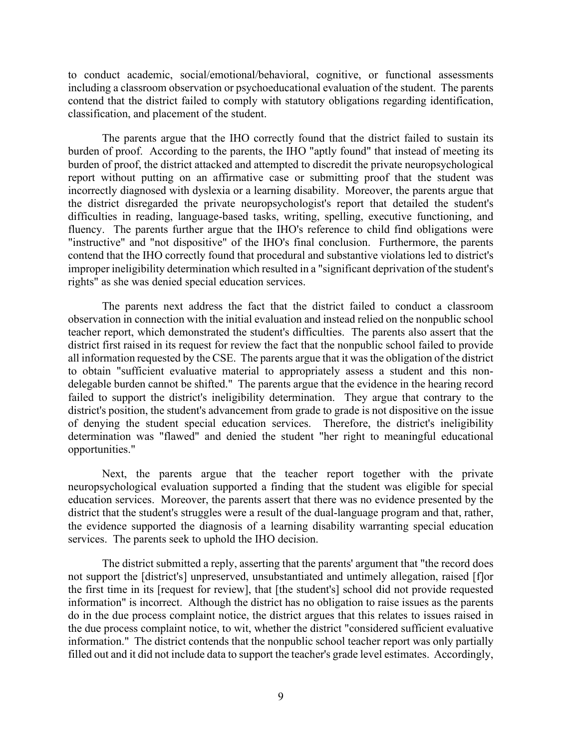including a classroom observation or psychoeducational evaluation of the student. The parents classification, and placement of the student. to conduct academic, social/emotional/behavioral, cognitive, or functional assessments contend that the district failed to comply with statutory obligations regarding identification,

 burden of proof. According to the parents, the IHO "aptly found" that instead of meeting its report without putting on an affirmative case or submitting proof that the student was incorrectly diagnosed with dyslexia or a learning disability. Moreover, the parents argue that the district disregarded the private neuropsychologist's report that detailed the student's The parents argue that the IHO correctly found that the district failed to sustain its burden of proof, the district attacked and attempted to discredit the private neuropsychological difficulties in reading, language-based tasks, writing, spelling, executive functioning, and fluency. The parents further argue that the IHO's reference to child find obligations were "instructive" and "not dispositive" of the IHO's final conclusion. Furthermore, the parents contend that the IHO correctly found that procedural and substantive violations led to district's improper ineligibility determination which resulted in a "significant deprivation of the student's rights" as she was denied special education services.

 The parents next address the fact that the district failed to conduct a classroom teacher report, which demonstrated the student's difficulties. The parents also assert that the delegable burden cannot be shifted." The parents argue that the evidence in the hearing record failed to support the district's ineligibility determination. They argue that contrary to the district's position, the student's advancement from grade to grade is not dispositive on the issue observation in connection with the initial evaluation and instead relied on the nonpublic school district first raised in its request for review the fact that the nonpublic school failed to provide all information requested by the CSE. The parents argue that it was the obligation of the district to obtain "sufficient evaluative material to appropriately assess a student and this nonof denying the student special education services. Therefore, the district's ineligibility determination was "flawed" and denied the student "her right to meaningful educational opportunities."

 Next, the parents argue that the teacher report together with the private education services. Moreover, the parents assert that there was no evidence presented by the the evidence supported the diagnosis of a learning disability warranting special education services. The parents seek to uphold the IHO decision. neuropsychological evaluation supported a finding that the student was eligible for special district that the student's struggles were a result of the dual-language program and that, rather,

 The district submitted a reply, asserting that the parents' argument that "the record does information" is incorrect. Although the district has no obligation to raise issues as the parents information." The district contends that the nonpublic school teacher report was only partially filled out and it did not include data to support the teacher's grade level estimates. Accordingly, not support the [district's] unpreserved, unsubstantiated and untimely allegation, raised [f]or the first time in its [request for review], that [the student's] school did not provide requested do in the due process complaint notice, the district argues that this relates to issues raised in the due process complaint notice, to wit, whether the district "considered sufficient evaluative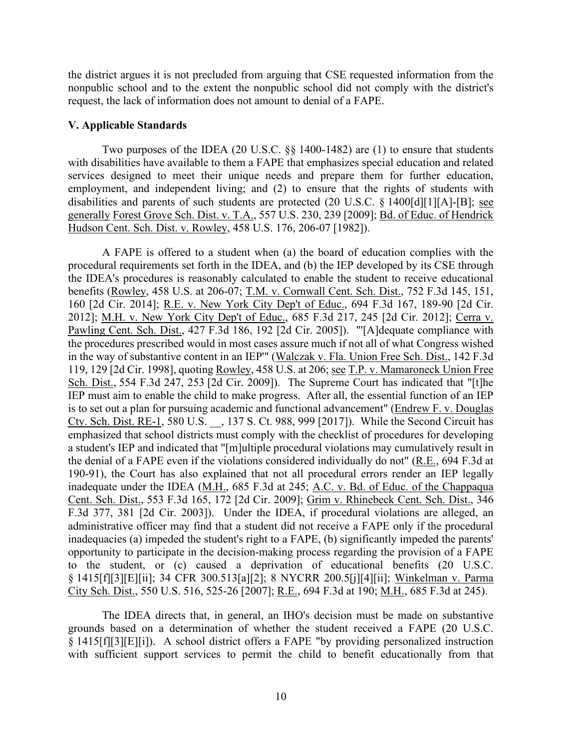request, the lack of information does not amount to denial of a FAPE. the district argues it is not precluded from arguing that CSE requested information from the nonpublic school and to the extent the nonpublic school did not comply with the district's

#### **V. Applicable Standards**

 with disabilities have available to them a FAPE that emphasizes special education and related generally Forest Grove Sch. Dist. v. T.A., 557 U.S. 230, 239 [2009]; Bd. of Educ. of Hendrick Two purposes of the IDEA (20 U.S.C. §§ 1400-1482) are (1) to ensure that students services designed to meet their unique needs and prepare them for further education, employment, and independent living; and (2) to ensure that the rights of students with disabilities and parents of such students are protected (20 U.S.C. § 1400[d][1][A]-[B]; see Hudson Cent. Sch. Dist. v. Rowley, 458 U.S. 176, 206-07 [1982]).

 procedural requirements set forth in the IDEA, and (b) the IEP developed by its CSE through the IDEA's procedures is reasonably calculated to enable the student to receive educational IEP must aim to enable the child to make progress. After all, the essential function of an IEP a student's IEP and indicated that "[m]ultiple procedural violations may cumulatively result in the denial of a FAPE even if the violations considered individually do not" ( $R.E., 694 F.3d$  at A FAPE is offered to a student when (a) the board of education complies with the benefits (Rowley, 458 U.S. at 206-07; T.M. v. Cornwall Cent. Sch. Dist., 752 F.3d 145, 151, 160 [2d Cir. 2014]; R.E. v. New York City Dep't of Educ., 694 F.3d 167, 189-90 [2d Cir. 2012]; M.H. v. New York City Dep't of Educ., 685 F.3d 217, 245 [2d Cir. 2012]; Cerra v. Pawling Cent. Sch. Dist., 427 F.3d 186, 192 [2d Cir. 2005]). "'[A]dequate compliance with the procedures prescribed would in most cases assure much if not all of what Congress wished in the way of substantive content in an IEP'" (Walczak v. Fla. Union Free Sch. Dist., 142 F.3d 119, 129 [2d Cir. 1998], quoting Rowley, 458 U.S. at 206; see T.P. v. Mamaroneck Union Free Sch. Dist., 554 F.3d 247, 253 [2d Cir. 2009]). The Supreme Court has indicated that "[t]he is to set out a plan for pursuing academic and functional advancement" (Endrew F. v. Douglas Cty. Sch. Dist. RE-1, 580 U.S. \_\_, 137 S. Ct. 988, 999 [2017]). While the Second Circuit has emphasized that school districts must comply with the checklist of procedures for developing 190-91), the Court has also explained that not all procedural errors render an IEP legally inadequate under the IDEA (M.H., 685 F.3d at 245; A.C. v. Bd. of Educ. of the Chappaqua Cent. Sch. Dist., 553 F.3d 165, 172 [2d Cir. 2009]; Grim v. Rhinebeck Cent. Sch. Dist., 346 F.3d 377, 381 [2d Cir. 2003]). Under the IDEA, if procedural violations are alleged, an administrative officer may find that a student did not receive a FAPE only if the procedural inadequacies (a) impeded the student's right to a FAPE, (b) significantly impeded the parents' opportunity to participate in the decision-making process regarding the provision of a FAPE to the student, or (c) caused a deprivation of educational benefits (20 U.S.C. § 1415[f][3][E][ii]; 34 CFR 300.513[a][2]; 8 NYCRR 200.5[j][4][ii]; Winkelman v. Parma City Sch. Dist., 550 U.S. 516, 525-26 [2007]; R.E., 694 F.3d at 190; M.H., 685 F.3d at 245).

The IDEA directs that, in general, an IHO's decision must be made on substantive grounds based on a determination of whether the student received a FAPE (20 U.S.C. § 1415[f][3][E][i]). A school district offers a FAPE "by providing personalized instruction with sufficient support services to permit the child to benefit educationally from that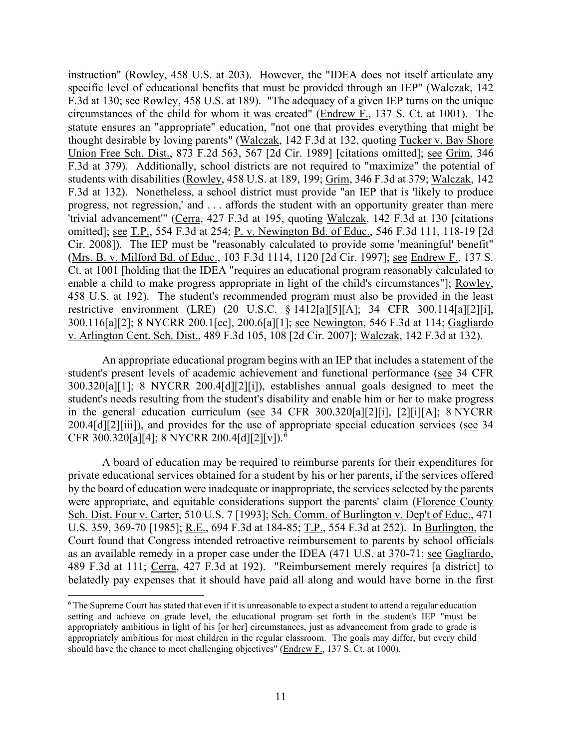F.3d at 130; see Rowley, 458 U.S. at 189). "The adequacy of a given IEP turns on the unique students with disabilities (Rowley, 458 U.S. at 189, 199; Grim, 346 F.3d at 379; Walczak, 142 progress, not regression,' and . . . affords the student with an opportunity greater than mere instruction" (Rowley, 458 U.S. at 203). However, the "IDEA does not itself articulate any specific level of educational benefits that must be provided through an IEP" (Walczak, 142 circumstances of the child for whom it was created" ( $Endrew F.$ , 137 S. Ct. at 1001). The</u> statute ensures an "appropriate" education, "not one that provides everything that might be thought desirable by loving parents" (Walczak, 142 F.3d at 132, quoting Tucker v. Bay Shore Union Free Sch. Dist., 873 F.2d 563, 567 [2d Cir. 1989] [citations omitted]; see Grim, 346 F.3d at 379). Additionally, school districts are not required to "maximize" the potential of F.3d at 132). Nonetheless, a school district must provide "an IEP that is 'likely to produce 'trivial advancement'" (Cerra, 427 F.3d at 195, quoting Walczak, 142 F.3d at 130 [citations omitted]; see T.P., 554 F.3d at 254; P. v. Newington Bd. of Educ., 546 F.3d 111, 118-19 [2d Cir. 2008]). The IEP must be "reasonably calculated to provide some 'meaningful' benefit" (Mrs. B. v. Milford Bd. of Educ., 103 F.3d 1114, 1120 [2d Cir. 1997]; see Endrew F., 137 S. Ct. at 1001 [holding that the IDEA "requires an educational program reasonably calculated to enable a child to make progress appropriate in light of the child's circumstances"]; Rowley, 458 U.S. at 192). The student's recommended program must also be provided in the least restrictive environment (LRE) (20 U.S.C. § 1412[a][5][A]; 34 CFR 300.114[a][2][i], 300.116[a][2]; 8 NYCRR 200.1[cc], 200.6[a][1]; see Newington, 546 F.3d at 114; Gagliardo v. Arlington Cent. Sch. Dist., 489 F.3d 105, 108 [2d Cir. 2007]; Walczak, 142 F.3d at 132).

An appropriate educational program begins with an IEP that includes a statement of the student's present levels of academic achievement and functional performance (see 34 CFR 300.320[a][1]; 8 NYCRR 200.4[d][2][i]), establishes annual goals designed to meet the student's needs resulting from the student's disability and enable him or her to make progress in the general education curriculum (see 34 CFR 300.320[a][2][i], [2][i][A]; 8 NYCRR 200.4[d][2][iii]), and provides for the use of appropriate special education services (see 34 CFR 300.320[a][4]; 8 NYCRR 200.4[d][2][v]).[6](#page-10-0)

as an available remedy in a proper case under the IDEA (471 U.S. at 370-71; see Gagliardo, belatedly pay expenses that it should have paid all along and would have borne in the first A board of education may be required to reimburse parents for their expenditures for private educational services obtained for a student by his or her parents, if the services offered by the board of education were inadequate or inappropriate, the services selected by the parents were appropriate, and equitable considerations support the parents' claim (Florence County Sch. Dist. Four v. Carter, 510 U.S. 7 [1993]; Sch. Comm. of Burlington v. Dep't of Educ., 471 U.S. 359, 369-70 [1985]; R.E., 694 F.3d at 184-85; T.P., 554 F.3d at 252). In Burlington, the Court found that Congress intended retroactive reimbursement to parents by school officials 489 F.3d at 111; Cerra, 427 F.3d at 192). "Reimbursement merely requires [a district] to

<span id="page-10-0"></span> appropriately ambitious in light of his [or her] circumstances, just as advancement from grade to grade is 6 The Supreme Court has stated that even if it is unreasonable to expect a student to attend a regular education setting and achieve on grade level, the educational program set forth in the student's IEP "must be appropriately ambitious for most children in the regular classroom. The goals may differ, but every child should have the chance to meet challenging objectives" ( $Endrew F.$ , 137 S. Ct. at 1000).</u>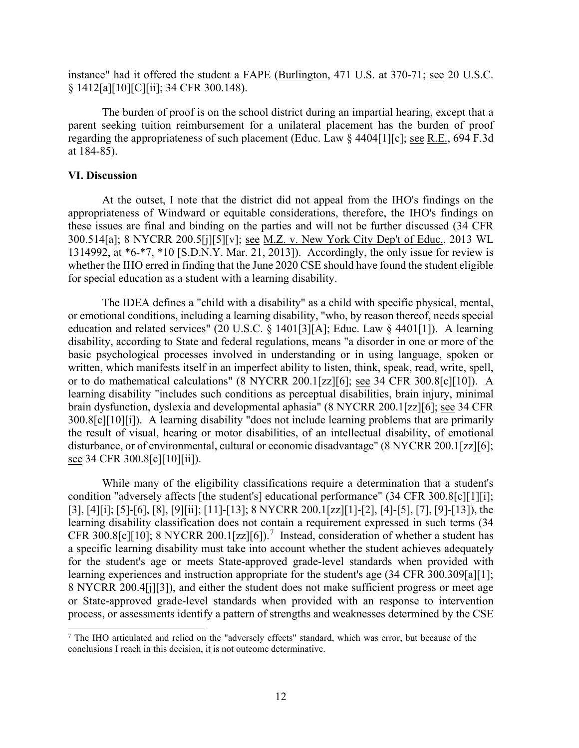instance" had it offered the student a FAPE (Burlington, 471 U.S. at 370-71; see 20 U.S.C. § 1412[a][10][C][ii]; 34 CFR 300.148).

The burden of proof is on the school district during an impartial hearing, except that a parent seeking tuition reimbursement for a unilateral placement has the burden of proof regarding the appropriateness of such placement (Educ. Law § 4404[1][c]; see R.E., 694 F.3d at 184-85).

#### **VI. Discussion**

 At the outset, I note that the district did not appeal from the IHO's findings on the 1314992, at \*6-\*7, \*10 [S.D.N.Y. Mar. 21, 2013]). Accordingly, the only issue for review is for special education as a student with a learning disability. appropriateness of Windward or equitable considerations, therefore, the IHO's findings on these issues are final and binding on the parties and will not be further discussed (34 CFR 300.514[a]; 8 NYCRR 200.5[j][5][v]; see M.Z. v. New York City Dep't of Educ., 2013 WL whether the IHO erred in finding that the June 2020 CSE should have found the student eligible

brain dysfunction, dyslexia and developmental aphasia" (8 NYCRR 200.1[zz][6]; <u>see</u> 34 CFR The IDEA defines a "child with a disability" as a child with specific physical, mental, or emotional conditions, including a learning disability, "who, by reason thereof, needs special education and related services" (20 U.S.C. § 1401[3][A]; Educ. Law § 4401[1]). A learning disability, according to State and federal regulations, means "a disorder in one or more of the basic psychological processes involved in understanding or in using language, spoken or written, which manifests itself in an imperfect ability to listen, think, speak, read, write, spell, or to do mathematical calculations" (8 NYCRR 200.1[zz][6]; see 34 CFR 300.8[c][10]). A learning disability "includes such conditions as perceptual disabilities, brain injury, minimal 300.8[c][10][i]). A learning disability "does not include learning problems that are primarily the result of visual, hearing or motor disabilities, of an intellectual disability, of emotional disturbance, or of environmental, cultural or economic disadvantage" (8 NYCRR 200.1[zz][6]; see 34 CFR 300.8[c][10][ii]).

CFR 300.8[c][10]; 8 NYCRR 200.1[zz][6]).<sup>7</sup> Instead, consideration of whether a student has While many of the eligibility classifications require a determination that a student's condition "adversely affects [the student's] educational performance" (34 CFR 300.8[c][1][i]; [3], [4][i]; [5]-[6], [8], [9][ii]; [11]-[13]; 8 NYCRR 200.1[zz][1]-[2], [4]-[5], [7], [9]-[13]), the learning disability classification does not contain a requirement expressed in such terms (34 a specific learning disability must take into account whether the student achieves adequately for the student's age or meets State-approved grade-level standards when provided with learning experiences and instruction appropriate for the student's age (34 CFR 300.309[a][1]; 8 NYCRR 200.4[j][3]), and either the student does not make sufficient progress or meet age or State-approved grade-level standards when provided with an response to intervention process, or assessments identify a pattern of strengths and weaknesses determined by the CSE

<span id="page-11-0"></span><sup>7</sup> The IHO articulated and relied on the "adversely effects" standard, which was error, but because of the conclusions I reach in this decision, it is not outcome determinative.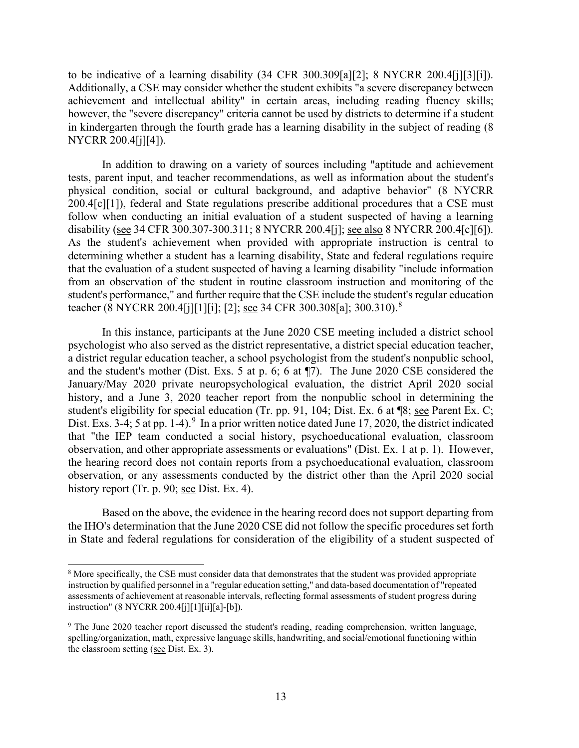to be indicative of a learning disability  $(34 \text{ CFR } 300.309 \text{a} \cdot \text{m} \cdot \text{m} \cdot \text{m} \cdot \text{m} \cdot \text{m} \cdot \text{m} \cdot \text{m} \cdot \text{m} \cdot \text{m} \cdot \text{m} \cdot \text{m} \cdot \text{m} \cdot \text{m} \cdot \text{m} \cdot \text{m} \cdot \text{m} \cdot \text{m} \cdot \text{m} \cdot \text{m} \cdot \text{m} \cdot \text{m} \cdot \text{m} \cdot$  however, the "severe discrepancy" criteria cannot be used by districts to determine if a student Additionally, a CSE may consider whether the student exhibits "a severe discrepancy between achievement and intellectual ability" in certain areas, including reading fluency skills; in kindergarten through the fourth grade has a learning disability in the subject of reading (8 NYCRR 200.4[j][4]).

disability (see 34 CFR 300.307-300.311; 8 NYCRR 200.4[j]; see also 8 NYCRR 200.4[c][6]).<br>As the student's achievement when provided with appropriate instruction is central to In addition to drawing on a variety of sources including "aptitude and achievement tests, parent input, and teacher recommendations, as well as information about the student's physical condition, social or cultural background, and adaptive behavior" (8 NYCRR 200.4[c][1]), federal and State regulations prescribe additional procedures that a CSE must follow when conducting an initial evaluation of a student suspected of having a learning determining whether a student has a learning disability, State and federal regulations require that the evaluation of a student suspected of having a learning disability "include information from an observation of the student in routine classroom instruction and monitoring of the student's performance," and further require that the CSE include the student's regular education teacher (8 NYCRR 200.4[j][1][i]; [2]; see 34 CFR 300.308[a]; 300.310).[8](#page-12-0)

 and the student's mother (Dist. Exs. 5 at p. 6; 6 at ¶7). The June 2020 CSE considered the history, and a June 3, 2020 teacher report from the nonpublic school in determining the student's eligibility for special education (Tr. pp. 91, 104; Dist. Ex. 6 at ¶8; see Parent Ex. C; Dist. Exs. 3-4; 5 at pp. 1-4).  $9 \text{ In a prior written notice dated June 17, 2020, the district indicated$  $9 \text{ In a prior written notice dated June 17, 2020, the district indicated$  observation, and other appropriate assessments or evaluations" (Dist. Ex. 1 at p. 1). However, In this instance, participants at the June 2020 CSE meeting included a district school psychologist who also served as the district representative, a district special education teacher, a district regular education teacher, a school psychologist from the student's nonpublic school, January/May 2020 private neuropsychological evaluation, the district April 2020 social that "the IEP team conducted a social history, psychoeducational evaluation, classroom the hearing record does not contain reports from a psychoeducational evaluation, classroom observation, or any assessments conducted by the district other than the April 2020 social history report (Tr. p. 90; see Dist. Ex. 4).

 in State and federal regulations for consideration of the eligibility of a student suspected of Based on the above, the evidence in the hearing record does not support departing from the IHO's determination that the June 2020 CSE did not follow the specific procedures set forth

<span id="page-12-0"></span><sup>&</sup>lt;sup>8</sup> More specifically, the CSE must consider data that demonstrates that the student was provided appropriate instruction by qualified personnel in a "regular education setting," and data-based documentation of "repeated assessments of achievement at reasonable intervals, reflecting formal assessments of student progress during instruction" (8 NYCRR 200.4[j][1][ii][a]-[b]).

<span id="page-12-1"></span>the classroom setting (see Dist. Ex. 3). 9 The June 2020 teacher report discussed the student's reading, reading comprehension, written language, spelling/organization, math, expressive language skills, handwriting, and social/emotional functioning within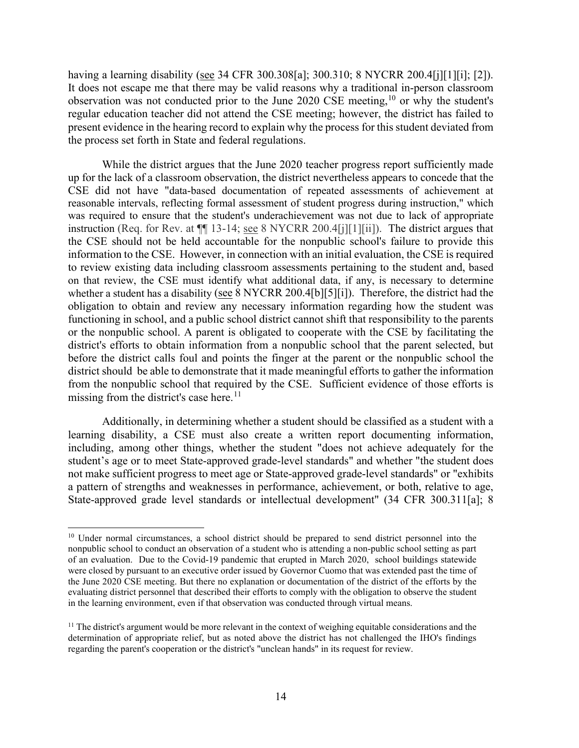having a learning disability (see 34 CFR 300.308[a]; 300.310; 8 NYCRR 200.4[j][1][i]; [2]). observation was not conducted prior to the June 2020 CSE meeting,  $10$  or why the student's the process set forth in State and federal regulations. It does not escape me that there may be valid reasons why a traditional in-person classroom regular education teacher did not attend the CSE meeting; however, the district has failed to present evidence in the hearing record to explain why the process for this student deviated from

 While the district argues that the June 2020 teacher progress report sufficiently made CSE did not have "data-based documentation of repeated assessments of achievement at reasonable intervals, reflecting formal assessment of student progress during instruction," which instruction (Req. for Rev. at  $\P$  13-14; <u>see</u> 8 NYCRR 200.4[j][1][ii]). The district argues that to review existing data including classroom assessments pertaining to the student and, based whether a student has a disability (see 8 NYCRR 200.4[b][5][i]). Therefore, the district had the obligation to obtain and review any necessary information regarding how the student was functioning in school, and a public school district cannot shift that responsibility to the parents from the nonpublic school that required by the CSE. Sufficient evidence of those efforts is missing from the district's case here. [11](#page-13-1) up for the lack of a classroom observation, the district nevertheless appears to concede that the was required to ensure that the student's underachievement was not due to lack of appropriate the CSE should not be held accountable for the nonpublic school's failure to provide this information to the CSE. However, in connection with an initial evaluation, the CSE is required on that review, the CSE must identify what additional data, if any, is necessary to determine or the nonpublic school. A parent is obligated to cooperate with the CSE by facilitating the district's efforts to obtain information from a nonpublic school that the parent selected, but before the district calls foul and points the finger at the parent or the nonpublic school the district should be able to demonstrate that it made meaningful efforts to gather the information

Additionally, in determining whether a student should be classified as a student with a learning disability, a CSE must also create a written report documenting information, including, among other things, whether the student "does not achieve adequately for the student's age or to meet State-approved grade-level standards" and whether "the student does not make sufficient progress to meet age or State-approved grade-level standards" or "exhibits a pattern of strengths and weaknesses in performance, achievement, or both, relative to age, State-approved grade level standards or intellectual development" (34 CFR 300.311[a]; 8

<span id="page-13-0"></span> of an evaluation. Due to the Covid-19 pandemic that erupted in March 2020, school buildings statewide the June 2020 CSE meeting. But there no explanation or documentation of the district of the efforts by the <sup>10</sup> Under normal circumstances, a school district should be prepared to send district personnel into the nonpublic school to conduct an observation of a student who is attending a non-public school setting as part were closed by pursuant to an executive order issued by Governor Cuomo that was extended past the time of evaluating district personnel that described their efforts to comply with the obligation to observe the student in the learning environment, even if that observation was conducted through virtual means.

<span id="page-13-1"></span><sup>&</sup>lt;sup>11</sup> The district's argument would be more relevant in the context of weighing equitable considerations and the determination of appropriate relief, but as noted above the district has not challenged the IHO's findings regarding the parent's cooperation or the district's "unclean hands" in its request for review.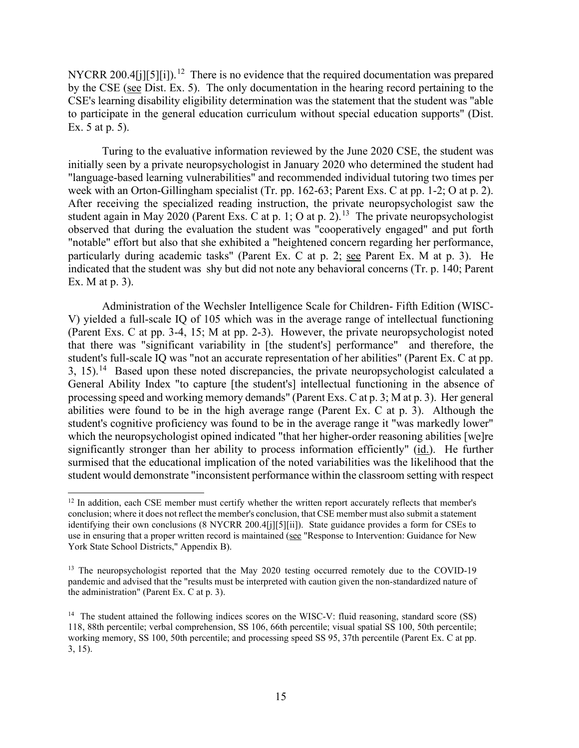NYCRR 200.4[j][5][i]).<sup>[12](#page-14-0)</sup> There is no evidence that the required documentation was prepared by the CSE (see Dist. Ex. 5). The only documentation in the hearing record pertaining to the CSE's learning disability eligibility determination was the statement that the student was "able to participate in the general education curriculum without special education supports" (Dist. Ex. 5 at p. 5).

 initially seen by a private neuropsychologist in January 2020 who determined the student had student again in May 2020 (Parent Exs. C at p. 1; O at p. 2).<sup>13</sup> The private neuropsychologist indicated that the student was shy but did not note any behavioral concerns (Tr. p. 140; Parent Turing to the evaluative information reviewed by the June 2020 CSE, the student was "language-based learning vulnerabilities" and recommended individual tutoring two times per week with an Orton-Gillingham specialist (Tr. pp. 162-63; Parent Exs. C at pp. 1-2; O at p. 2). After receiving the specialized reading instruction, the private neuropsychologist saw the observed that during the evaluation the student was "cooperatively engaged" and put forth "notable" effort but also that she exhibited a "heightened concern regarding her performance, particularly during academic tasks" (Parent Ex. C at p. 2; see Parent Ex. M at p. 3). He Ex. M at p. 3).

 (Parent Exs. C at pp. 3-4, 15; M at pp. 2-3). However, the private neuropsychologist noted that there was "significant variability in [the student's] performance" and therefore, the 3, 15).<sup>14</sup> Based upon these noted discrepancies, the private neuropsychologist calculated a surmised that the educational implication of the noted variabilities was the likelihood that the Administration of the Wechsler Intelligence Scale for Children- Fifth Edition (WISC-V) yielded a full-scale IQ of 105 which was in the average range of intellectual functioning student's full-scale IQ was "not an accurate representation of her abilities" (Parent Ex. C at pp. General Ability Index "to capture [the student's] intellectual functioning in the absence of processing speed and working memory demands" (Parent Exs. C at p. 3; M at p. 3). Her general abilities were found to be in the high average range (Parent Ex. C at p. 3). Although the student's cognitive proficiency was found to be in the average range it "was markedly lower" which the neuropsychologist opined indicated "that her higher-order reasoning abilities [we]re significantly stronger than her ability to process information efficiently" (id.). He further student would demonstrate "inconsistent performance within the classroom setting with respect

<span id="page-14-0"></span>use in ensuring that a proper written record is maintained (see "Response to Intervention: Guidance for New <sup>12</sup> In addition, each CSE member must certify whether the written report accurately reflects that member's conclusion; where it does not reflect the member's conclusion, that CSE member must also submit a statement identifying their own conclusions (8 NYCRR 200.4[j][5][ii]). State guidance provides a form for CSEs to York State School Districts," Appendix B).

<span id="page-14-1"></span><sup>&</sup>lt;sup>13</sup> The neuropsychologist reported that the May 2020 testing occurred remotely due to the COVID-19 pandemic and advised that the "results must be interpreted with caution given the non-standardized nature of the administration" (Parent Ex. C at p. 3).

<span id="page-14-2"></span><sup>&</sup>lt;sup>14</sup> The student attained the following indices scores on the WISC-V: fluid reasoning, standard score (SS) working memory, SS 100, 50th percentile; and processing speed SS 95, 37th percentile (Parent Ex. C at pp. 118, 88th percentile; verbal comprehension, SS 106, 66th percentile; visual spatial SS 100, 50th percentile; 3, 15).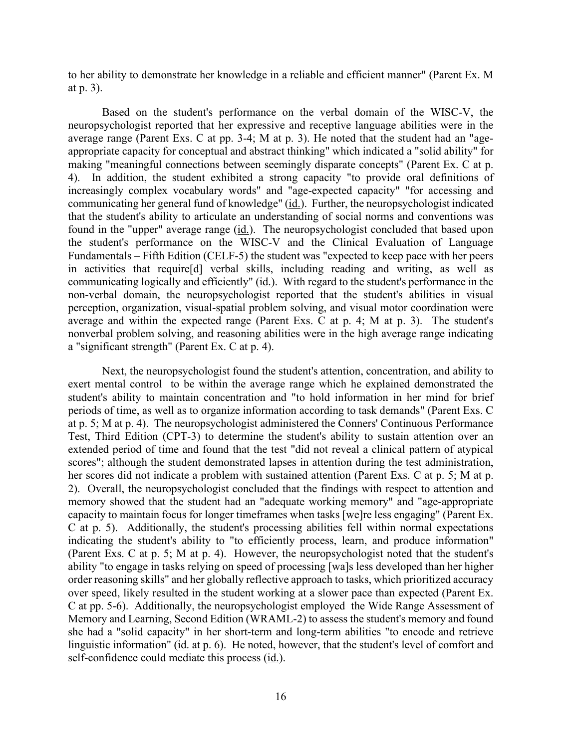to her ability to demonstrate her knowledge in a reliable and efficient manner" (Parent Ex. M at p. 3).

communicating her general fund of knowledge" (id.). Further, the neuropsychologist indicated Fundamentals – Fifth Edition (CELF-5) the student was "expected to keep pace with her peers communicating logically and efficiently" (*id.*). With regard to the student's performance in the Based on the student's performance on the verbal domain of the WISC-V, the neuropsychologist reported that her expressive and receptive language abilities were in the average range (Parent Exs. C at pp. 3-4; M at p. 3). He noted that the student had an "ageappropriate capacity for conceptual and abstract thinking" which indicated a "solid ability" for making "meaningful connections between seemingly disparate concepts" (Parent Ex. C at p. 4). In addition, the student exhibited a strong capacity "to provide oral definitions of increasingly complex vocabulary words" and "age-expected capacity" "for accessing and that the student's ability to articulate an understanding of social norms and conventions was found in the "upper" average range  $(id)$ . The neuropsychologist concluded that based upon the student's performance on the WISC-V and the Clinical Evaluation of Language in activities that require[d] verbal skills, including reading and writing, as well as non-verbal domain, the neuropsychologist reported that the student's abilities in visual perception, organization, visual-spatial problem solving, and visual motor coordination were average and within the expected range (Parent Exs. C at p. 4; M at p. 3). The student's nonverbal problem solving, and reasoning abilities were in the high average range indicating a "significant strength" (Parent Ex. C at p. 4).

 at p. 5; M at p. 4). The neuropsychologist administered the Conners' Continuous Performance capacity to maintain focus for longer timeframes when tasks [we]re less engaging" (Parent Ex. she had a "solid capacity" in her short-term and long-term abilities "to encode and retrieve linguistic information" (id. at p. 6). He noted, however, that the student's level of comfort and Next, the neuropsychologist found the student's attention, concentration, and ability to exert mental control to be within the average range which he explained demonstrated the student's ability to maintain concentration and "to hold information in her mind for brief periods of time, as well as to organize information according to task demands" (Parent Exs. C Test, Third Edition (CPT-3) to determine the student's ability to sustain attention over an extended period of time and found that the test "did not reveal a clinical pattern of atypical scores"; although the student demonstrated lapses in attention during the test administration, her scores did not indicate a problem with sustained attention (Parent Exs. C at p. 5; M at p. 2). Overall, the neuropsychologist concluded that the findings with respect to attention and memory showed that the student had an "adequate working memory" and "age-appropriate C at p. 5). Additionally, the student's processing abilities fell within normal expectations indicating the student's ability to "to efficiently process, learn, and produce information" (Parent Exs. C at p. 5; M at p. 4). However, the neuropsychologist noted that the student's ability "to engage in tasks relying on speed of processing [wa]s less developed than her higher order reasoning skills" and her globally reflective approach to tasks, which prioritized accuracy over speed, likely resulted in the student working at a slower pace than expected (Parent Ex. C at pp. 5-6). Additionally, the neuropsychologist employed the Wide Range Assessment of Memory and Learning, Second Edition (WRAML-2) to assess the student's memory and found self-confidence could mediate this process (id.).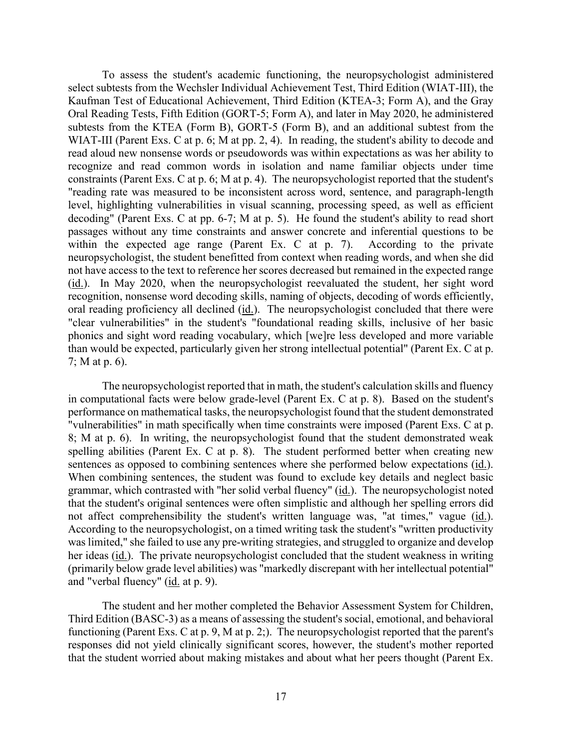select subtests from the Wechsler Individual Achievement Test, Third Edition (WIAT-III), the read aloud new nonsense words or pseudowords was within expectations as was her ability to decoding" (Parent Exs. C at pp. 6-7; M at p. 5). He found the student's ability to read short To assess the student's academic functioning, the neuropsychologist administered Kaufman Test of Educational Achievement, Third Edition (KTEA-3; Form A), and the Gray Oral Reading Tests, Fifth Edition (GORT-5; Form A), and later in May 2020, he administered subtests from the KTEA (Form B), GORT-5 (Form B), and an additional subtest from the WIAT-III (Parent Exs. C at p. 6; M at pp. 2, 4). In reading, the student's ability to decode and recognize and read common words in isolation and name familiar objects under time constraints (Parent Exs. C at p. 6; M at p. 4). The neuropsychologist reported that the student's "reading rate was measured to be inconsistent across word, sentence, and paragraph-length level, highlighting vulnerabilities in visual scanning, processing speed, as well as efficient passages without any time constraints and answer concrete and inferential questions to be within the expected age range (Parent Ex. C at p. 7). According to the private neuropsychologist, the student benefitted from context when reading words, and when she did not have access to the text to reference her scores decreased but remained in the expected range (id.). In May 2020, when the neuropsychologist reevaluated the student, her sight word recognition, nonsense word decoding skills, naming of objects, decoding of words efficiently, oral reading proficiency all declined (id.). The neuropsychologist concluded that there were "clear vulnerabilities" in the student's "foundational reading skills, inclusive of her basic phonics and sight word reading vocabulary, which [we]re less developed and more variable than would be expected, particularly given her strong intellectual potential" (Parent Ex. C at p. 7; M at p. 6).

 "vulnerabilities" in math specifically when time constraints were imposed (Parent Exs. C at p. sentences as opposed to combining sentences where she performed below expectations (id.). grammar, which contrasted with "her solid verbal fluency" (id.). The neuropsychologist noted her ideas (id.). The private neuropsychologist concluded that the student weakness in writing and "verbal fluency" (id. at p. 9). The neuropsychologist reported that in math, the student's calculation skills and fluency in computational facts were below grade-level (Parent Ex. C at p. 8). Based on the student's performance on mathematical tasks, the neuropsychologist found that the student demonstrated 8; M at p. 6). In writing, the neuropsychologist found that the student demonstrated weak spelling abilities (Parent Ex. C at p. 8). The student performed better when creating new When combining sentences, the student was found to exclude key details and neglect basic that the student's original sentences were often simplistic and although her spelling errors did not affect comprehensibility the student's written language was, "at times," vague (id.). According to the neuropsychologist, on a timed writing task the student's "written productivity was limited," she failed to use any pre-writing strategies, and struggled to organize and develop (primarily below grade level abilities) was "markedly discrepant with her intellectual potential"

 responses did not yield clinically significant scores, however, the student's mother reported The student and her mother completed the Behavior Assessment System for Children, Third Edition (BASC-3) as a means of assessing the student's social, emotional, and behavioral functioning (Parent Exs. C at p. 9, M at p. 2;). The neuropsychologist reported that the parent's that the student worried about making mistakes and about what her peers thought (Parent Ex.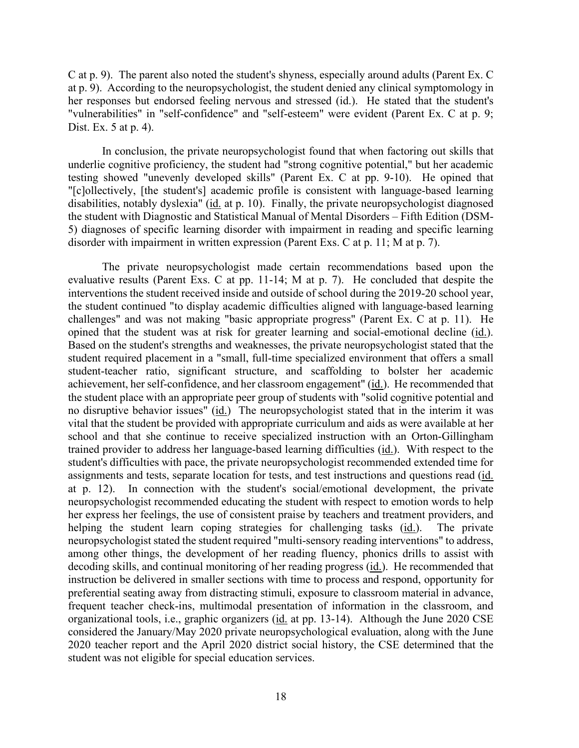C at p. 9). The parent also noted the student's shyness, especially around adults (Parent Ex. C at p. 9). According to the neuropsychologist, the student denied any clinical symptomology in her responses but endorsed feeling nervous and stressed (id.). He stated that the student's "vulnerabilities" in "self-confidence" and "self-esteem" were evident (Parent Ex. C at p. 9; Dist. Ex. 5 at p. 4).

 testing showed "unevenly developed skills" (Parent Ex. C at pp. 9-10). He opined that In conclusion, the private neuropsychologist found that when factoring out skills that underlie cognitive proficiency, the student had "strong cognitive potential," but her academic "[c]ollectively, [the student's] academic profile is consistent with language-based learning disabilities, notably dyslexia" (id. at p. 10). Finally, the private neuropsychologist diagnosed the student with Diagnostic and Statistical Manual of Mental Disorders – Fifth Edition (DSM-5) diagnoses of specific learning disorder with impairment in reading and specific learning disorder with impairment in written expression (Parent Exs. C at p. 11; M at p. 7).

 evaluative results (Parent Exs. C at pp. 11-14; M at p. 7). He concluded that despite the challenges" and was not making "basic appropriate progress" (Parent Ex. C at p. 11). He opined that the student was at risk for greater learning and social-emotional decline (id.). trained provider to address her language-based learning difficulties (id.). With respect to the assignments and tests, separate location for tests, and test instructions and questions read (*id.* at p.  $12$ ). helping the student learn coping strategies for challenging tasks (*id.*). The private decoding skills, and continual monitoring of her reading progress (*id.*). He recommended that organizational tools, i.e., graphic organizers (id. at pp. 13-14). Although the June 2020 CSE The private neuropsychologist made certain recommendations based upon the interventions the student received inside and outside of school during the 2019-20 school year, the student continued "to display academic difficulties aligned with language-based learning Based on the student's strengths and weaknesses, the private neuropsychologist stated that the student required placement in a "small, full-time specialized environment that offers a small student-teacher ratio, significant structure, and scaffolding to bolster her academic achievement, her self-confidence, and her classroom engagement" (id.). He recommended that the student place with an appropriate peer group of students with "solid cognitive potential and no disruptive behavior issues" (id.) The neuropsychologist stated that in the interim it was vital that the student be provided with appropriate curriculum and aids as were available at her school and that she continue to receive specialized instruction with an Orton-Gillingham student's difficulties with pace, the private neuropsychologist recommended extended time for In connection with the student's social/emotional development, the private neuropsychologist recommended educating the student with respect to emotion words to help her express her feelings, the use of consistent praise by teachers and treatment providers, and neuropsychologist stated the student required "multi-sensory reading interventions" to address, among other things, the development of her reading fluency, phonics drills to assist with instruction be delivered in smaller sections with time to process and respond, opportunity for preferential seating away from distracting stimuli, exposure to classroom material in advance, frequent teacher check-ins, multimodal presentation of information in the classroom, and considered the January/May 2020 private neuropsychological evaluation, along with the June 2020 teacher report and the April 2020 district social history, the CSE determined that the student was not eligible for special education services.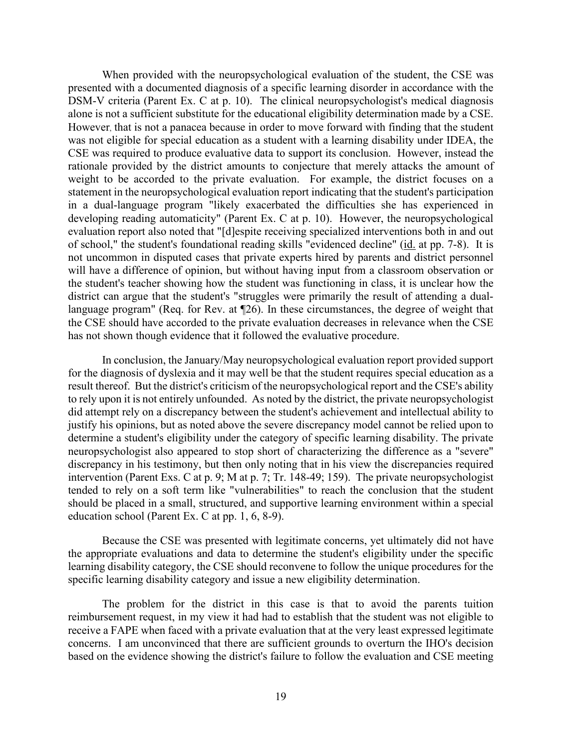DSM-V criteria (Parent Ex. C at p. 10). The clinical neuropsychologist's medical diagnosis However, that is not a panacea because in order to move forward with finding that the student CSE was required to produce evaluative data to support its conclusion. However, instead the of school," the student's foundational reading skills "evidenced decline" (id. at pp. 7-8). It is language program" (Req. for Rev. at ¶26). In these circumstances, the degree of weight that When provided with the neuropsychological evaluation of the student, the CSE was presented with a documented diagnosis of a specific learning disorder in accordance with the alone is not a sufficient substitute for the educational eligibility determination made by a CSE. was not eligible for special education as a student with a learning disability under IDEA, the rationale provided by the district amounts to conjecture that merely attacks the amount of weight to be accorded to the private evaluation. For example, the district focuses on a statement in the neuropsychological evaluation report indicating that the student's participation in a dual-language program "likely exacerbated the difficulties she has experienced in developing reading automaticity" (Parent Ex. C at p. 10). However, the neuropsychological evaluation report also noted that "[d]espite receiving specialized interventions both in and out not uncommon in disputed cases that private experts hired by parents and district personnel will have a difference of opinion, but without having input from a classroom observation or the student's teacher showing how the student was functioning in class, it is unclear how the district can argue that the student's "struggles were primarily the result of attending a dualthe CSE should have accorded to the private evaluation decreases in relevance when the CSE has not shown though evidence that it followed the evaluative procedure.

 for the diagnosis of dyslexia and it may well be that the student requires special education as a intervention (Parent Exs. C at p. 9; M at p. 7; Tr. 148-49; 159). The private neuropsychologist tended to rely on a soft term like "vulnerabilities" to reach the conclusion that the student In conclusion, the January/May neuropsychological evaluation report provided support result thereof. But the district's criticism of the neuropsychological report and the CSE's ability to rely upon it is not entirely unfounded. As noted by the district, the private neuropsychologist did attempt rely on a discrepancy between the student's achievement and intellectual ability to justify his opinions, but as noted above the severe discrepancy model cannot be relied upon to determine a student's eligibility under the category of specific learning disability. The private neuropsychologist also appeared to stop short of characterizing the difference as a "severe" discrepancy in his testimony, but then only noting that in his view the discrepancies required should be placed in a small, structured, and supportive learning environment within a special education school (Parent Ex. C at pp. 1, 6, 8-9).

 learning disability category, the CSE should reconvene to follow the unique procedures for the Because the CSE was presented with legitimate concerns, yet ultimately did not have the appropriate evaluations and data to determine the student's eligibility under the specific specific learning disability category and issue a new eligibility determination.

The problem for the district in this case is that to avoid the parents tuition reimbursement request, in my view it had had to establish that the student was not eligible to receive a FAPE when faced with a private evaluation that at the very least expressed legitimate concerns. I am unconvinced that there are sufficient grounds to overturn the IHO's decision based on the evidence showing the district's failure to follow the evaluation and CSE meeting